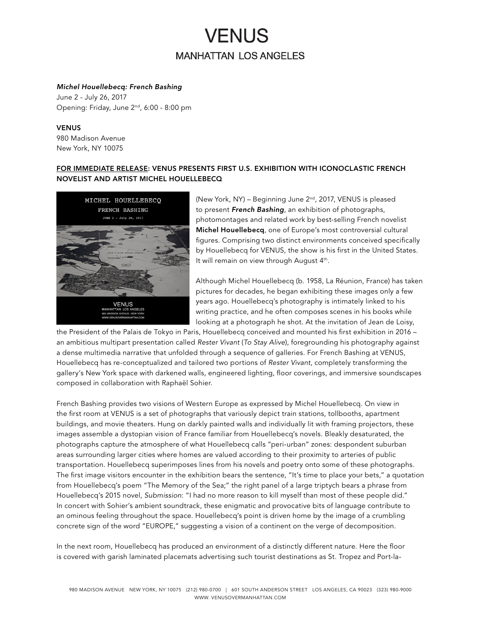# **VENUS MANHATTAN LOS ANGELES**

#### *Michel Houellebecq: French Bashing*

June 2 - July 26, 2017 Opening: Friday, June 2nd, 6:00 - 8:00 pm

### VENUS

980 Madison Avenue New York, NY 10075

### FOR IMMEDIATE RELEASE: VENUS PRESENTS FIRST U.S. EXHIBITION WITH ICONOCLASTIC FRENCH NOVELIST AND ARTIST MICHEL HOUELLEBECQ



(New York, NY) – Beginning June 2nd, 2017, VENUS is pleased to present *French Bashing*, an exhibition of photographs, photomontages and related work by best-selling French novelist Michel Houellebecq, one of Europe's most controversial cultural figures. Comprising two distinct environments conceived specifically by Houellebecq for VENUS, the show is his first in the United States. It will remain on view through August 4<sup>th</sup>.

Although Michel Houellebecq (b. 1958, La Réunion, France) has taken pictures for decades, he began exhibiting these images only a few years ago. Houellebecq's photography is intimately linked to his writing practice, and he often composes scenes in his books while looking at a photograph he shot. At the invitation of Jean de Loisy,

the President of the Palais de Tokyo in Paris, Houellebecq conceived and mounted his first exhibition in 2016 – an ambitious multipart presentation called *Rester Vivant* (*To Stay Alive*), foregrounding his photography against a dense multimedia narrative that unfolded through a sequence of galleries. For French Bashing at VENUS, Houellebecq has re-conceptualized and tailored two portions of *Rester Vivant*, completely transforming the gallery's New York space with darkened walls, engineered lighting, floor coverings, and immersive soundscapes composed in collaboration with Raphaël Sohier.

French Bashing provides two visions of Western Europe as expressed by Michel Houellebecq. On view in the first room at VENUS is a set of photographs that variously depict train stations, tollbooths, apartment buildings, and movie theaters. Hung on darkly painted walls and individually lit with framing projectors, these images assemble a dystopian vision of France familiar from Houellebecq's novels. Bleakly desaturated, the photographs capture the atmosphere of what Houellebecq calls "peri-urban" zones: despondent suburban areas surrounding larger cities where homes are valued according to their proximity to arteries of public transportation. Houellebecq superimposes lines from his novels and poetry onto some of these photographs. The first image visitors encounter in the exhibition bears the sentence, "It's time to place your bets," a quotation from Houellebecq's poem "The Memory of the Sea;" the right panel of a large triptych bears a phrase from Houellebecq's 2015 novel, *Submission*: "I had no more reason to kill myself than most of these people did." In concert with Sohier's ambient soundtrack, these enigmatic and provocative bits of language contribute to an ominous feeling throughout the space. Houellebecq's point is driven home by the image of a crumbling concrete sign of the word "EUROPE," suggesting a vision of a continent on the verge of decomposition.

In the next room, Houellebecq has produced an environment of a distinctly different nature. Here the floor is covered with garish laminated placemats advertising such tourist destinations as St. Tropez and Port-la-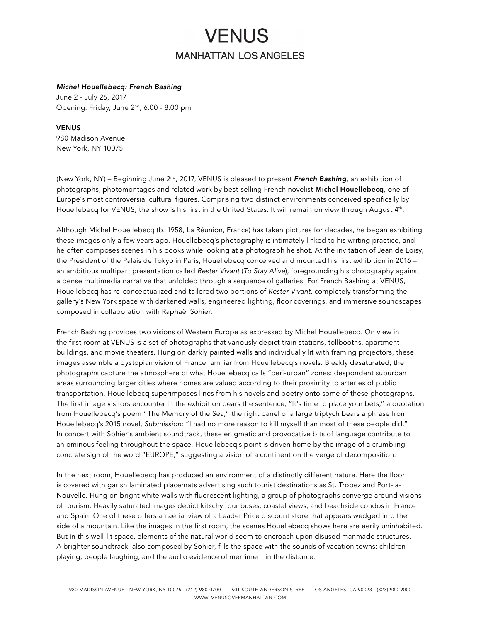# **VENUS MANHATTAN LOS ANGELES**

#### *Michel Houellebecq: French Bashing*

June 2 - July 26, 2017 Opening: Friday, June 2nd, 6:00 - 8:00 pm

#### VENUS

980 Madison Avenue New York, NY 10075

(New York, NY) – Beginning June 2nd, 2017, VENUS is pleased to present *French Bashing*, an exhibition of photographs, photomontages and related work by best-selling French novelist Michel Houellebecq, one of Europe's most controversial cultural figures. Comprising two distinct environments conceived specifically by Houellebecq for VENUS, the show is his first in the United States. It will remain on view through August 4<sup>th</sup>.

Although Michel Houellebecq (b. 1958, La Réunion, France) has taken pictures for decades, he began exhibiting these images only a few years ago. Houellebecq's photography is intimately linked to his writing practice, and he often composes scenes in his books while looking at a photograph he shot. At the invitation of Jean de Loisy, the President of the Palais de Tokyo in Paris, Houellebecq conceived and mounted his first exhibition in 2016 – an ambitious multipart presentation called *Rester Vivant* (*To Stay Alive*), foregrounding his photography against a dense multimedia narrative that unfolded through a sequence of galleries. For French Bashing at VENUS, Houellebecq has re-conceptualized and tailored two portions of *Rester Vivant*, completely transforming the gallery's New York space with darkened walls, engineered lighting, floor coverings, and immersive soundscapes composed in collaboration with Raphaël Sohier.

French Bashing provides two visions of Western Europe as expressed by Michel Houellebecq. On view in the first room at VENUS is a set of photographs that variously depict train stations, tollbooths, apartment buildings, and movie theaters. Hung on darkly painted walls and individually lit with framing projectors, these images assemble a dystopian vision of France familiar from Houellebecq's novels. Bleakly desaturated, the photographs capture the atmosphere of what Houellebecq calls "peri-urban" zones: despondent suburban areas surrounding larger cities where homes are valued according to their proximity to arteries of public transportation. Houellebecq superimposes lines from his novels and poetry onto some of these photographs. The first image visitors encounter in the exhibition bears the sentence, "It's time to place your bets," a quotation from Houellebecq's poem "The Memory of the Sea;" the right panel of a large triptych bears a phrase from Houellebecq's 2015 novel, *Submission*: "I had no more reason to kill myself than most of these people did." In concert with Sohier's ambient soundtrack, these enigmatic and provocative bits of language contribute to an ominous feeling throughout the space. Houellebecq's point is driven home by the image of a crumbling concrete sign of the word "EUROPE," suggesting a vision of a continent on the verge of decomposition.

In the next room, Houellebecq has produced an environment of a distinctly different nature. Here the floor is covered with garish laminated placemats advertising such tourist destinations as St. Tropez and Port-la-Nouvelle. Hung on bright white walls with fluorescent lighting, a group of photographs converge around visions of tourism. Heavily saturated images depict kitschy tour buses, coastal views, and beachside condos in France and Spain. One of these offers an aerial view of a Leader Price discount store that appears wedged into the side of a mountain. Like the images in the first room, the scenes Houellebecq shows here are eerily uninhabited. But in this well-lit space, elements of the natural world seem to encroach upon disused manmade structures. A brighter soundtrack, also composed by Sohier, fills the space with the sounds of vacation towns: children playing, people laughing, and the audio evidence of merriment in the distance.